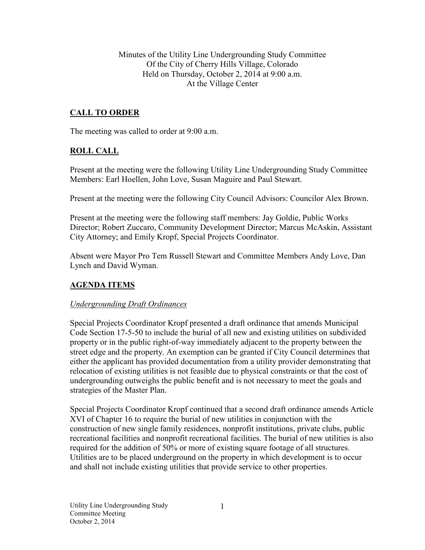Minutes of the Utility Line Undergrounding Study Committee Of the City of Cherry Hills Village, Colorado Held on Thursday, October 2, 2014 at 9:00 a.m. At the Village Center

# **CALL TO ORDER**

The meeting was called to order at 9:00 a.m.

## **ROLL CALL**

Present at the meeting were the following Utility Line Undergrounding Study Committee Members: Earl Hoellen, John Love, Susan Maguire and Paul Stewart.

Present at the meeting were the following City Council Advisors: Councilor Alex Brown.

Present at the meeting were the following staff members: Jay Goldie, Public Works Director; Robert Zuccaro, Community Development Director; Marcus McAskin, Assistant City Attorney; and Emily Kropf, Special Projects Coordinator.

Absent were Mayor Pro Tem Russell Stewart and Committee Members Andy Love, Dan Lynch and David Wyman.

## **AGENDA ITEMS**

### *Undergrounding Draft Ordinances*

Special Projects Coordinator Kropf presented a draft ordinance that amends Municipal Code Section 17-5-50 to include the burial of all new and existing utilities on subdivided property or in the public right-of-way immediately adjacent to the property between the street edge and the property. An exemption can be granted if City Council determines that either the applicant has provided documentation from a utility provider demonstrating that relocation of existing utilities is not feasible due to physical constraints or that the cost of undergrounding outweighs the public benefit and is not necessary to meet the goals and strategies of the Master Plan.

Special Projects Coordinator Kropf continued that a second draft ordinance amends Article XVI of Chapter 16 to require the burial of new utilities in conjunction with the construction of new single family residences, nonprofit institutions, private clubs, public recreational facilities and nonprofit recreational facilities. The burial of new utilities is also required for the addition of 50% or more of existing square footage of all structures. Utilities are to be placed underground on the property in which development is to occur and shall not include existing utilities that provide service to other properties.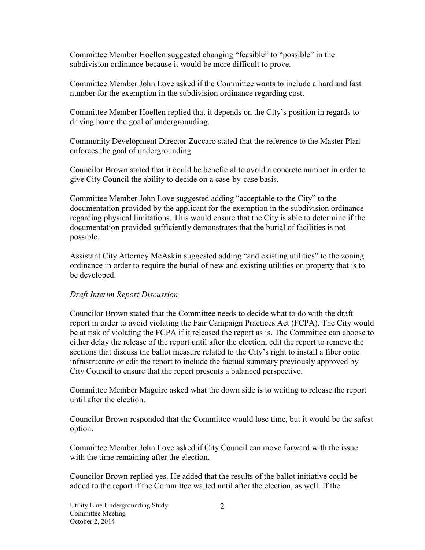Committee Member Hoellen suggested changing "feasible" to "possible" in the subdivision ordinance because it would be more difficult to prove.

Committee Member John Love asked if the Committee wants to include a hard and fast number for the exemption in the subdivision ordinance regarding cost.

Committee Member Hoellen replied that it depends on the City's position in regards to driving home the goal of undergrounding.

Community Development Director Zuccaro stated that the reference to the Master Plan enforces the goal of undergrounding.

Councilor Brown stated that it could be beneficial to avoid a concrete number in order to give City Council the ability to decide on a case-by-case basis.

Committee Member John Love suggested adding "acceptable to the City" to the documentation provided by the applicant for the exemption in the subdivision ordinance regarding physical limitations. This would ensure that the City is able to determine if the documentation provided sufficiently demonstrates that the burial of facilities is not possible.

Assistant City Attorney McAskin suggested adding "and existing utilities" to the zoning ordinance in order to require the burial of new and existing utilities on property that is to be developed.

## *Draft Interim Report Discussion*

Councilor Brown stated that the Committee needs to decide what to do with the draft report in order to avoid violating the Fair Campaign Practices Act (FCPA). The City would be at risk of violating the FCPA if it released the report as is. The Committee can choose to either delay the release of the report until after the election, edit the report to remove the sections that discuss the ballot measure related to the City's right to install a fiber optic infrastructure or edit the report to include the factual summary previously approved by City Council to ensure that the report presents a balanced perspective.

Committee Member Maguire asked what the down side is to waiting to release the report until after the election.

Councilor Brown responded that the Committee would lose time, but it would be the safest option.

Committee Member John Love asked if City Council can move forward with the issue with the time remaining after the election.

Councilor Brown replied yes. He added that the results of the ballot initiative could be added to the report if the Committee waited until after the election, as well. If the